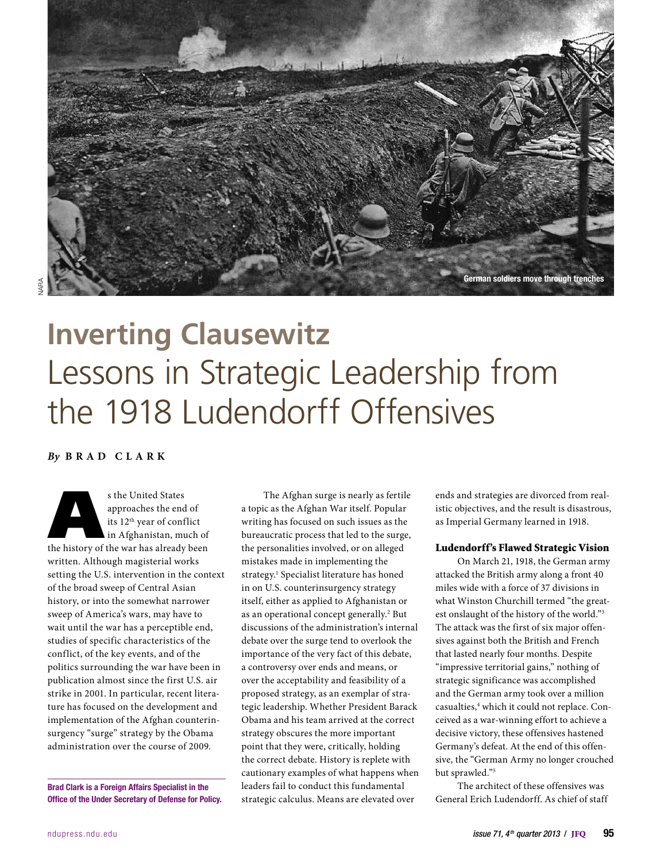

# **Inverting Clausewitz** Lessons in Strategic Leadership from the 1918 Ludendorff Offensives

# *By* **Brad Clark**

s the United States<br>
approaches the end of<br>
its 12<sup>th</sup> year of conflict<br>
in Afghanistan, much of<br>
the history of the war has already been approaches the end of its 12th year of conflict in Afghanistan, much of written. Although magisterial works setting the U.S. intervention in the context of the broad sweep of Central Asian history, or into the somewhat narrower sweep of America's wars, may have to wait until the war has a perceptible end, studies of specific characteristics of the conflict, of the key events, and of the politics surrounding the war have been in publication almost since the first U.S. air strike in 2001. In particular, recent literature has focused on the development and implementation of the Afghan counterinsurgency "surge" strategy by the Obama administration over the course of 2009.

Brad Clark is a Foreign Affairs Specialist in the Office of the Under Secretary of Defense for Policy.

The Afghan surge is nearly as fertile a topic as the Afghan War itself. Popular writing has focused on such issues as the bureaucratic process that led to the surge, the personalities involved, or on alleged mistakes made in implementing the strategy.<sup>1</sup> Specialist literature has honed in on U.S. counterinsurgency strategy itself, either as applied to Afghanistan or as an operational concept generally.<sup>2</sup> But discussions of the administration's internal debate over the surge tend to overlook the importance of the very fact of this debate, a controversy over ends and means, or over the acceptability and feasibility of a proposed strategy, as an exemplar of strategic leadership. Whether President Barack Obama and his team arrived at the correct strategy obscures the more important point that they were, critically, holding the correct debate. History is replete with cautionary examples of what happens when leaders fail to conduct this fundamental strategic calculus. Means are elevated over

ends and strategies are divorced from realistic objectives, and the result is disastrous, as Imperial Germany learned in 1918.

#### Ludendorff's Flawed Strategic Vision

On March 21, 1918, the German army attacked the British army along a front 40 miles wide with a force of 37 divisions in what Winston Churchill termed "the greatest onslaught of the history of the world."3 The attack was the first of six major offensives against both the British and French that lasted nearly four months. Despite "impressive territorial gains," nothing of strategic significance was accomplished and the German army took over a million casualties,<sup>4</sup> which it could not replace. Conceived as a war-winning effort to achieve a decisive victory, these offensives hastened Germany's defeat. At the end of this offensive, the "German Army no longer crouched but sprawled."5

The architect of these offensives was General Erich Ludendorff. As chief of staff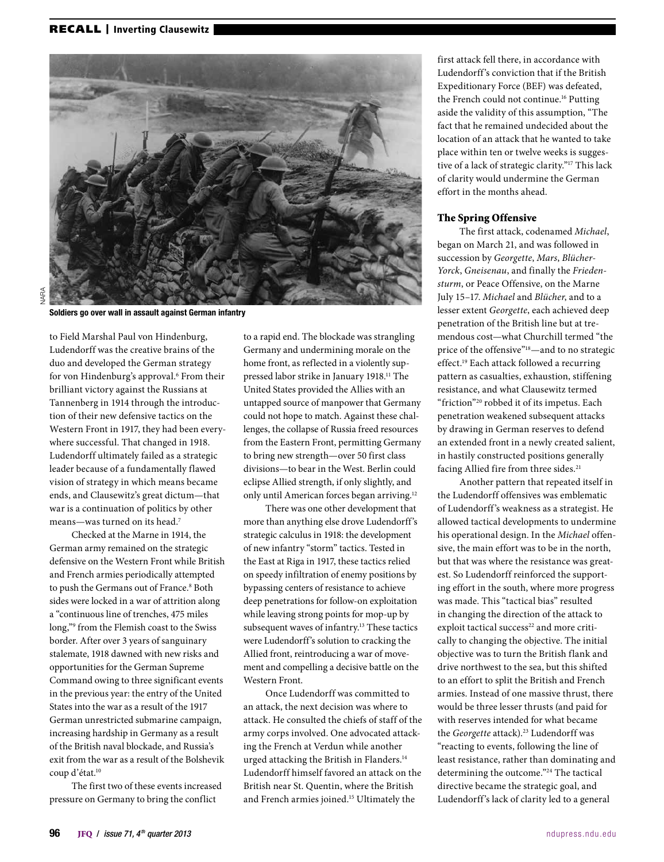

Soldiers go over wall in assault against German infantry

to Field Marshal Paul von Hindenburg, Ludendorff was the creative brains of the duo and developed the German strategy for von Hindenburg's approval.<sup>6</sup> From their brilliant victory against the Russians at Tannenberg in 1914 through the introduction of their new defensive tactics on the Western Front in 1917, they had been everywhere successful. That changed in 1918. Ludendorff ultimately failed as a strategic leader because of a fundamentally flawed vision of strategy in which means became ends, and Clausewitz's great dictum—that war is a continuation of politics by other means—was turned on its head.7

Checked at the Marne in 1914, the German army remained on the strategic defensive on the Western Front while British and French armies periodically attempted to push the Germans out of France.<sup>8</sup> Both sides were locked in a war of attrition along a "continuous line of trenches, 475 miles long,"9 from the Flemish coast to the Swiss border. After over 3 years of sanguinary stalemate, 1918 dawned with new risks and opportunities for the German Supreme Command owing to three significant events in the previous year: the entry of the United States into the war as a result of the 1917 German unrestricted submarine campaign, increasing hardship in Germany as a result of the British naval blockade, and Russia's exit from the war as a result of the Bolshevik coup d'état.10

The first two of these events increased pressure on Germany to bring the conflict

to a rapid end. The blockade was strangling Germany and undermining morale on the home front, as reflected in a violently suppressed labor strike in January 1918.11 The United States provided the Allies with an untapped source of manpower that Germany could not hope to match. Against these challenges, the collapse of Russia freed resources from the Eastern Front, permitting Germany to bring new strength—over 50 first class divisions—to bear in the West. Berlin could eclipse Allied strength, if only slightly, and only until American forces began arriving.12

There was one other development that more than anything else drove Ludendorff's strategic calculus in 1918: the development of new infantry "storm" tactics. Tested in the East at Riga in 1917, these tactics relied on speedy infiltration of enemy positions by bypassing centers of resistance to achieve deep penetrations for follow-on exploitation while leaving strong points for mop-up by subsequent waves of infantry.<sup>13</sup> These tactics were Ludendorff's solution to cracking the Allied front, reintroducing a war of movement and compelling a decisive battle on the Western Front.

Once Ludendorff was committed to an attack, the next decision was where to attack. He consulted the chiefs of staff of the army corps involved. One advocated attacking the French at Verdun while another urged attacking the British in Flanders.<sup>14</sup> Ludendorff himself favored an attack on the British near St. Quentin, where the British and French armies joined.<sup>15</sup> Ultimately the

first attack fell there, in accordance with Ludendorff's conviction that if the British Expeditionary Force (BEF) was defeated, the French could not continue.<sup>16</sup> Putting aside the validity of this assumption, "The fact that he remained undecided about the location of an attack that he wanted to take place within ten or twelve weeks is suggestive of a lack of strategic clarity."17 This lack of clarity would undermine the German effort in the months ahead.

## The Spring Offensive

The first attack, codenamed *Michael*, began on March 21, and was followed in succession by *Georgette*, *Mars*, *Blücher-Yorck*, *Gneisenau*, and finally the *Friedensturm*, or Peace Offensive, on the Marne July 15–17. *Michael* and *Blücher*, and to a lesser extent *Georgette*, each achieved deep penetration of the British line but at tremendous cost—what Churchill termed "the price of the offensive"18—and to no strategic effect.19 Each attack followed a recurring pattern as casualties, exhaustion, stiffening resistance, and what Clausewitz termed "friction"20 robbed it of its impetus. Each penetration weakened subsequent attacks by drawing in German reserves to defend an extended front in a newly created salient, in hastily constructed positions generally facing Allied fire from three sides.<sup>21</sup>

Another pattern that repeated itself in the Ludendorff offensives was emblematic of Ludendorff's weakness as a strategist. He allowed tactical developments to undermine his operational design. In the *Michael* offensive, the main effort was to be in the north, but that was where the resistance was greatest. So Ludendorff reinforced the supporting effort in the south, where more progress was made. This "tactical bias" resulted in changing the direction of the attack to exploit tactical success<sup>22</sup> and more critically to changing the objective. The initial objective was to turn the British flank and drive northwest to the sea, but this shifted to an effort to split the British and French armies. Instead of one massive thrust, there would be three lesser thrusts (and paid for with reserves intended for what became the *Georgette* attack).<sup>23</sup> Ludendorff was "reacting to events, following the line of least resistance, rather than dominating and determining the outcome."24 The tactical directive became the strategic goal, and Ludendorff's lack of clarity led to a general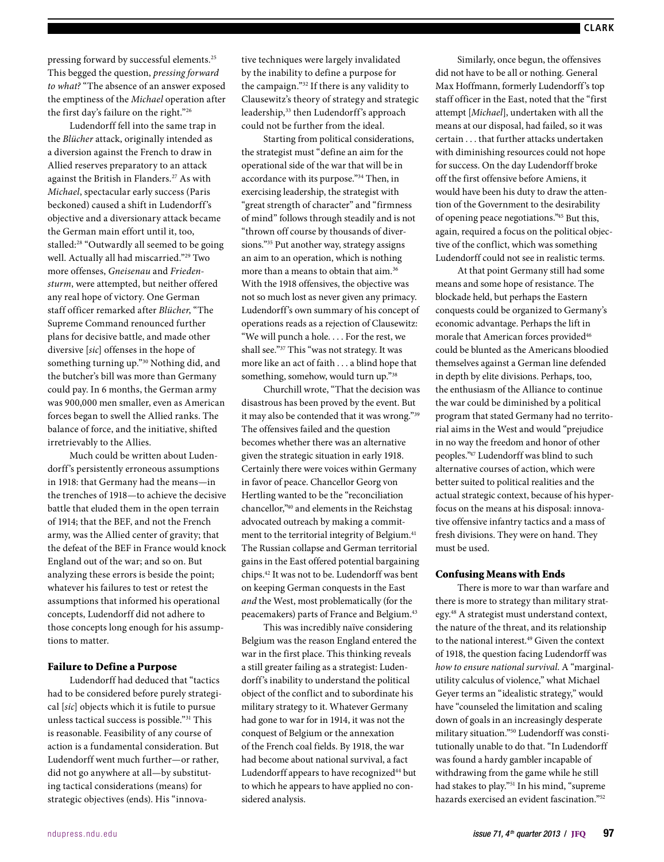pressing forward by successful elements.25 This begged the question, *pressing forward to what?* "The absence of an answer exposed the emptiness of the *Michael* operation after the first day's failure on the right."26

Ludendorff fell into the same trap in the *Blücher* attack, originally intended as a diversion against the French to draw in Allied reserves preparatory to an attack against the British in Flanders.27 As with *Michael*, spectacular early success (Paris beckoned) caused a shift in Ludendorff's objective and a diversionary attack became the German main effort until it, too, stalled:28 "Outwardly all seemed to be going well. Actually all had miscarried."29 Two more offenses, *Gneisenau* and *Friedensturm*, were attempted, but neither offered any real hope of victory. One German staff officer remarked after *Blücher*, "The Supreme Command renounced further plans for decisive battle, and made other diversive [*sic*] offenses in the hope of something turning up."30 Nothing did, and the butcher's bill was more than Germany could pay. In 6 months, the German army was 900,000 men smaller, even as American forces began to swell the Allied ranks. The balance of force, and the initiative, shifted irretrievably to the Allies.

Much could be written about Ludendorff's persistently erroneous assumptions in 1918: that Germany had the means—in the trenches of 1918—to achieve the decisive battle that eluded them in the open terrain of 1914; that the BEF, and not the French army, was the Allied center of gravity; that the defeat of the BEF in France would knock England out of the war; and so on. But analyzing these errors is beside the point; whatever his failures to test or retest the assumptions that informed his operational concepts, Ludendorff did not adhere to those concepts long enough for his assumptions to matter.

### Failure to Define a Purpose

Ludendorff had deduced that "tactics had to be considered before purely strategical [*sic*] objects which it is futile to pursue unless tactical success is possible."31 This is reasonable. Feasibility of any course of action is a fundamental consideration. But Ludendorff went much further—or rather, did not go anywhere at all—by substituting tactical considerations (means) for strategic objectives (ends). His "innovative techniques were largely invalidated by the inability to define a purpose for the campaign."32 If there is any validity to Clausewitz's theory of strategy and strategic leadership,33 then Ludendorff's approach could not be further from the ideal.

Starting from political considerations, the strategist must "define an aim for the operational side of the war that will be in accordance with its purpose."34 Then, in exercising leadership, the strategist with "great strength of character" and "firmness of mind" follows through steadily and is not "thrown off course by thousands of diversions."35 Put another way, strategy assigns an aim to an operation, which is nothing more than a means to obtain that aim.<sup>36</sup> With the 1918 offensives, the objective was not so much lost as never given any primacy. Ludendorff's own summary of his concept of operations reads as a rejection of Clausewitz: "We will punch a hole. . . . For the rest, we shall see."37 This "was not strategy. It was more like an act of faith . . . a blind hope that something, somehow, would turn up."38

Churchill wrote, "That the decision was disastrous has been proved by the event. But it may also be contended that it was wrong."39 The offensives failed and the question becomes whether there was an alternative given the strategic situation in early 1918. Certainly there were voices within Germany in favor of peace. Chancellor Georg von Hertling wanted to be the "reconciliation chancellor,"40 and elements in the Reichstag advocated outreach by making a commitment to the territorial integrity of Belgium.<sup>41</sup> The Russian collapse and German territorial gains in the East offered potential bargaining chips.42 It was not to be. Ludendorff was bent on keeping German conquests in the East *and* the West, most problematically (for the peacemakers) parts of France and Belgium.43

This was incredibly naïve considering Belgium was the reason England entered the war in the first place. This thinking reveals a still greater failing as a strategist: Ludendorff's inability to understand the political object of the conflict and to subordinate his military strategy to it. Whatever Germany had gone to war for in 1914, it was not the conquest of Belgium or the annexation of the French coal fields. By 1918, the war had become about national survival, a fact Ludendorff appears to have recognized<sup>44</sup> but to which he appears to have applied no considered analysis.

Similarly, once begun, the offensives did not have to be all or nothing. General Max Hoffmann, formerly Ludendorff's top staff officer in the East, noted that the "first attempt [*Michael*], undertaken with all the means at our disposal, had failed, so it was certain . . . that further attacks undertaken with diminishing resources could not hope for success. On the day Ludendorff broke off the first offensive before Amiens, it would have been his duty to draw the attention of the Government to the desirability of opening peace negotiations."45 But this, again, required a focus on the political objective of the conflict, which was something Ludendorff could not see in realistic terms.

At that point Germany still had some means and some hope of resistance. The blockade held, but perhaps the Eastern conquests could be organized to Germany's economic advantage. Perhaps the lift in morale that American forces provided<sup>46</sup> could be blunted as the Americans bloodied themselves against a German line defended in depth by elite divisions. Perhaps, too, the enthusiasm of the Alliance to continue the war could be diminished by a political program that stated Germany had no territorial aims in the West and would "prejudice in no way the freedom and honor of other peoples."47 Ludendorff was blind to such alternative courses of action, which were better suited to political realities and the actual strategic context, because of his hyperfocus on the means at his disposal: innovative offensive infantry tactics and a mass of fresh divisions. They were on hand. They must be used.

#### Confusing Means with Ends

There is more to war than warfare and there is more to strategy than military strategy.48 A strategist must understand context, the nature of the threat, and its relationship to the national interest.<sup>49</sup> Given the context of 1918, the question facing Ludendorff was *how to ensure national survival*. A "marginalutility calculus of violence," what Michael Geyer terms an "idealistic strategy," would have "counseled the limitation and scaling down of goals in an increasingly desperate military situation."50 Ludendorff was constitutionally unable to do that. "In Ludendorff was found a hardy gambler incapable of withdrawing from the game while he still had stakes to play."51 In his mind, "supreme hazards exercised an evident fascination."52